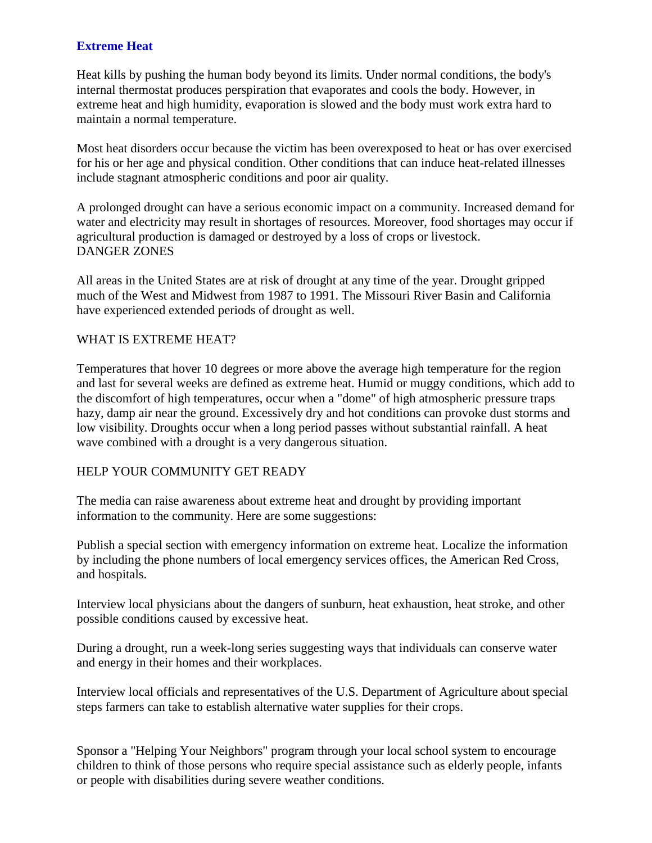## **Extreme Heat**

Heat kills by pushing the human body beyond its limits. Under normal conditions, the body's internal thermostat produces perspiration that evaporates and cools the body. However, in extreme heat and high humidity, evaporation is slowed and the body must work extra hard to maintain a normal temperature.

Most heat disorders occur because the victim has been overexposed to heat or has over exercised for his or her age and physical condition. Other conditions that can induce heat-related illnesses include stagnant atmospheric conditions and poor air quality.

A prolonged drought can have a serious economic impact on a community. Increased demand for water and electricity may result in shortages of resources. Moreover, food shortages may occur if agricultural production is damaged or destroyed by a loss of crops or livestock. DANGER ZONES

All areas in the United States are at risk of drought at any time of the year. Drought gripped much of the West and Midwest from 1987 to 1991. The Missouri River Basin and California have experienced extended periods of drought as well.

## WHAT IS EXTREME HEAT?

Temperatures that hover 10 degrees or more above the average high temperature for the region and last for several weeks are defined as extreme heat. Humid or muggy conditions, which add to the discomfort of high temperatures, occur when a "dome" of high atmospheric pressure traps hazy, damp air near the ground. Excessively dry and hot conditions can provoke dust storms and low visibility. Droughts occur when a long period passes without substantial rainfall. A heat wave combined with a drought is a very dangerous situation.

## HELP YOUR COMMUNITY GET READY

The media can raise awareness about extreme heat and drought by providing important information to the community. Here are some suggestions:

Publish a special section with emergency information on extreme heat. Localize the information by including the phone numbers of local emergency services offices, the American Red Cross, and hospitals.

Interview local physicians about the dangers of sunburn, heat exhaustion, heat stroke, and other possible conditions caused by excessive heat.

During a drought, run a week-long series suggesting ways that individuals can conserve water and energy in their homes and their workplaces.

Interview local officials and representatives of the U.S. Department of Agriculture about special steps farmers can take to establish alternative water supplies for their crops.

Sponsor a "Helping Your Neighbors" program through your local school system to encourage children to think of those persons who require special assistance such as elderly people, infants or people with disabilities during severe weather conditions.